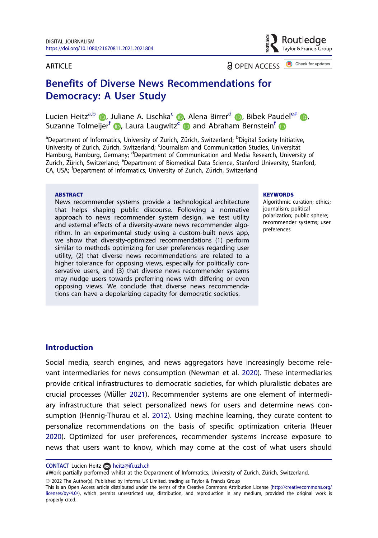#### <span id="page-0-0"></span>**ARTICLE**

a OPEN ACCESS **C** Check for updates

Routledae Francis Group

# Benefits of Diverse News Recommendations for Democracy: A User Study

Lucien Heitz<sup>a[,](http://orcid.org/0000-0001-7987-8446)b</sup> (D. Juliane A. Lischka<sup>c</sup> (D. Alena Birrer<sup>d</sup> (D. Bibek Paudel<sup>e#</sup> (D. Suzanne Tolmeijer<sup>f</sup> D[,](http://orcid.org/0000-0002-8584-5656) Laura Laugwitz<sup>[c](http://orcid.org/0000-0002-4845-0946)</sup> D and Abraham Bernstein<sup>f</sup> D

<sup>a</sup>Department of Informatics, University of Zurich, Zürich, Switzerland; <sup>b</sup>Digital Society Initiative, University of Zurich, Zürich, Switzerland; <sup>c</sup>Journalism and Communication Studies, Universität Hamburg, Hamburg, Germany; <sup>d</sup>Department of Communication and Media Research, University of Zurich, Zürich, Switzerland; <sup>e</sup>Department of Biomedical Data Science, Stanford University, Stanford, CA, USA; <sup>f</sup>Department of Informatics, University of Zurich, Zürich, Switzerland

#### **ARSTRACT**

News recommender systems provide a technological architecture that helps shaping public discourse. Following a normative approach to news recommender system design, we test utility and external effects of a diversity-aware news recommender algorithm. In an experimental study using a custom-built news app, we show that diversity-optimized recommendations (1) perform similar to methods optimizing for user preferences regarding user utility, (2) that diverse news recommendations are related to a higher tolerance for opposing views, especially for politically conservative users, and (3) that diverse news recommender systems may nudge users towards preferring news with differing or even opposing views. We conclude that diverse news recommendations can have a depolarizing capacity for democratic societies.

#### **KEYWORDS**

Algorithmic curation; ethics; journalism; political polarization; public sphere; recommender systems; user preferences

### **Introduction**

Social media, search engines, and news aggregators have increasingly become relevant intermediaries for news consumption (Newman et al. [2020](#page-18-0)). These intermediaries provide critical infrastructures to democratic societies, for which pluralistic debates are crucial processes (Müller [2021\)](#page-18-0). Recommender systems are one element of intermediary infrastructure that select personalized news for users and determine news consumption (Hennig-Thurau et al. [2012](#page-17-0)). Using machine learning, they curate content to personalize recommendations on the basis of specific optimization criteria (Heuer [2020](#page-17-0)). Optimized for user preferences, recommender systems increase exposure to news that users want to know, which may come at the cost of what users should

CONTACT Lucien Heitz a heitz@ifi.uzh.ch

#Work partially performed whilst at the Department of Informatics, University of Zurich, Zürich, Switzerland.

 $\degree$  2022 The Author(s). Published by Informa UK Limited, trading as Taylor & Francis Group

This is an Open Access article distributed under the terms of the Creative Commons Attribution License [\(http://creativecommons.org/](http://creativecommons.org/licenses/by/4.0/) [licenses/by/4.0/](http://creativecommons.org/licenses/by/4.0/)), which permits unrestricted use, distribution, and reproduction in any medium, provided the original work is properly cited.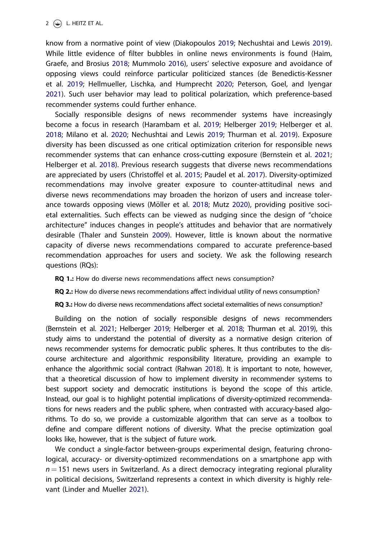<span id="page-1-0"></span>know from a normative point of view (Diakopoulos [2019](#page-17-0); Nechushtai and Lewis [2019\)](#page-18-0). While little evidence of filter bubbles in online news environments is found (Haim, Graefe, and Brosius [2018;](#page-17-0) Mummolo [2016](#page-18-0)), users' selective exposure and avoidance of opposing views could reinforce particular politicized stances (de Benedictis-Kessner et al. [2019](#page-17-0); Hellmueller, Lischka, and Humprecht [2020](#page-17-0); Peterson, Goel, and Iyengar [2021](#page-18-0)). Such user behavior may lead to political polarization, which preference-based recommender systems could further enhance.

Socially responsible designs of news recommender systems have increasingly become a focus in research (Harambam et al. [2019](#page-17-0); Helberger [2019](#page-17-0); Helberger et al. [2018](#page-17-0); Milano et al. [2020;](#page-18-0) Nechushtai and Lewis [2019](#page-18-0); Thurman et al. [2019\)](#page-19-0). Exposure diversity has been discussed as one critical optimization criterion for responsible news recommender systems that can enhance cross-cutting exposure (Bernstein et al. [2021](#page-17-0); Helberger et al. [2018](#page-17-0)). Previous research suggests that diverse news recommendations are appreciated by users (Christoffel et al. [2015;](#page-17-0) Paudel et al. [2017](#page-18-0)). Diversity-optimized recommendations may involve greater exposure to counter-attitudinal news and diverse news recommendations may broaden the horizon of users and increase toler-ance towards opposing views (Möller et al. [2018;](#page-18-0) Mutz [2020\)](#page-18-0), providing positive societal externalities. Such effects can be viewed as nudging since the design of "choice architecture" induces changes in people's attitudes and behavior that are normatively desirable (Thaler and Sunstein [2009](#page-18-0)). However, little is known about the normative capacity of diverse news recommendations compared to accurate preference-based recommendation approaches for users and society. We ask the following research questions (RQs):

RQ 1.: How do diverse news recommendations affect news consumption?

RQ 2.: How do diverse news recommendations affect individual utility of news consumption?

RQ 3.: How do diverse news recommendations affect societal externalities of news consumption?

Building on the notion of socially responsible designs of news recommenders (Bernstein et al. [2021;](#page-17-0) Helberger [2019;](#page-17-0) Helberger et al. [2018;](#page-17-0) Thurman et al. [2019\)](#page-19-0), this study aims to understand the potential of diversity as a normative design criterion of news recommender systems for democratic public spheres. It thus contributes to the discourse architecture and algorithmic responsibility literature, providing an example to enhance the algorithmic social contract (Rahwan [2018](#page-18-0)). It is important to note, however, that a theoretical discussion of how to implement diversity in recommender systems to best support society and democratic institutions is beyond the scope of this article. Instead, our goal is to highlight potential implications of diversity-optimized recommendations for news readers and the public sphere, when contrasted with accuracy-based algorithms. To do so, we provide a customizable algorithm that can serve as a toolbox to define and compare different notions of diversity. What the precise optimization goal looks like, however, that is the subject of future work.

We conduct a single-factor between-groups experimental design, featuring chronological, accuracy- or diversity-optimized recommendations on a smartphone app with  $n = 151$  news users in Switzerland. As a direct democracy integrating regional plurality in political decisions, Switzerland represents a context in which diversity is highly relevant (Linder and Mueller [2021](#page-18-0)).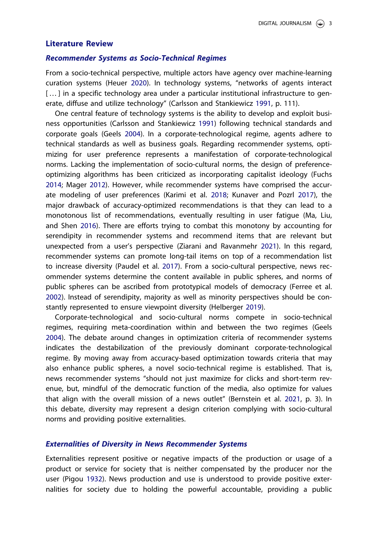### <span id="page-2-0"></span>Literature Review

#### Recommender Systems as Socio-Technical Regimes

From a socio-technical perspective, multiple actors have agency over machine-learning curation systems (Heuer [2020\)](#page-17-0). In technology systems, "networks of agents interact [...] in a specific technology area under a particular institutional infrastructure to generate, diffuse and utilize technology" (Carlsson and Stankiewicz [1991](#page-17-0), p. 111).

One central feature of technology systems is the ability to develop and exploit business opportunities (Carlsson and Stankiewicz [1991\)](#page-17-0) following technical standards and corporate goals (Geels [2004](#page-17-0)). In a corporate-technological regime, agents adhere to technical standards as well as business goals. Regarding recommender systems, optimizing for user preference represents a manifestation of corporate-technological norms. Lacking the implementation of socio-cultural norms, the design of preferenceoptimizing algorithms has been criticized as incorporating capitalist ideology (Fuchs [2014](#page-17-0); Mager [2012\)](#page-18-0). However, while recommender systems have comprised the accurate modeling of user preferences (Karimi et al. [2018;](#page-18-0) Kunaver and Pozrl [2017\)](#page-18-0), the major drawback of accuracy-optimized recommendations is that they can lead to a monotonous list of recommendations, eventually resulting in user fatigue (Ma, Liu, and Shen [2016\)](#page-18-0). There are efforts trying to combat this monotony by accounting for serendipity in recommender systems and recommend items that are relevant but unexpected from a user's perspective (Ziarani and Ravanmehr [2021](#page-19-0)). In this regard, recommender systems can promote long-tail items on top of a recommendation list to increase diversity (Paudel et al. [2017](#page-18-0)). From a socio-cultural perspective, news recommender systems determine the content available in public spheres, and norms of public spheres can be ascribed from prototypical models of democracy (Ferree et al. [2002](#page-17-0)). Instead of serendipity, majority as well as minority perspectives should be constantly represented to ensure viewpoint diversity (Helberger [2019](#page-17-0)).

Corporate-technological and socio-cultural norms compete in socio-technical regimes, requiring meta-coordination within and between the two regimes (Geels [2004](#page-17-0)). The debate around changes in optimization criteria of recommender systems indicates the destabilization of the previously dominant corporate-technological regime. By moving away from accuracy-based optimization towards criteria that may also enhance public spheres, a novel socio-technical regime is established. That is, news recommender systems "should not just maximize for clicks and short-term revenue, but, mindful of the democratic function of the media, also optimize for values that align with the overall mission of a news outlet" (Bernstein et al. [2021](#page-17-0), p. 3). In this debate, diversity may represent a design criterion complying with socio-cultural norms and providing positive externalities.

#### Externalities of Diversity in News Recommender Systems

Externalities represent positive or negative impacts of the production or usage of a product or service for society that is neither compensated by the producer nor the user (Pigou [1932](#page-18-0)). News production and use is understood to provide positive externalities for society due to holding the powerful accountable, providing a public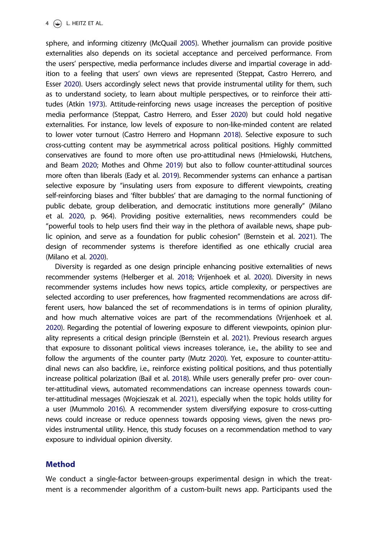<span id="page-3-0"></span>sphere, and informing citizenry (McQuail [2005\)](#page-18-0). Whether journalism can provide positive externalities also depends on its societal acceptance and perceived performance. From the users' perspective, media performance includes diverse and impartial coverage in addition to a feeling that users' own views are represented (Steppat, Castro Herrero, and Esser [2020](#page-18-0)). Users accordingly select news that provide instrumental utility for them, such as to understand society, to learn about multiple perspectives, or to reinforce their attitudes (Atkin [1973\)](#page-16-0). Attitude-reinforcing news usage increases the perception of positive media performance (Steppat, Castro Herrero, and Esser [2020\)](#page-18-0) but could hold negative externalities. For instance, low levels of exposure to non-like-minded content are related to lower voter turnout (Castro Herrero and Hopmann [2018\)](#page-17-0). Selective exposure to such cross-cutting content may be asymmetrical across political positions. Highly committed conservatives are found to more often use pro-attitudinal news (Hmielowski, Hutchens, and Beam [2020](#page-17-0); Mothes and Ohme [2019](#page-18-0)) but also to follow counter-attitudinal sources more often than liberals (Eady et al. [2019](#page-17-0)). Recommender systems can enhance a partisan selective exposure by "insulating users from exposure to different viewpoints, creating self-reinforcing biases and 'filter bubbles' that are damaging to the normal functioning of public debate, group deliberation, and democratic institutions more generally" (Milano et al. [2020](#page-18-0), p. 964). Providing positive externalities, news recommenders could be "powerful tools to help users find their way in the plethora of available news, shape public opinion, and serve as a foundation for public cohesion" (Bernstein et al. [2021](#page-17-0)). The design of recommender systems is therefore identified as one ethically crucial area (Milano et al. [2020](#page-18-0)).

Diversity is regarded as one design principle enhancing positive externalities of news recommender systems (Helberger et al. [2018](#page-17-0); Vrijenhoek et al. [2020](#page-19-0)). Diversity in news recommender systems includes how news topics, article complexity, or perspectives are selected according to user preferences, how fragmented recommendations are across different users, how balanced the set of recommendations is in terms of opinion plurality, and how much alternative voices are part of the recommendations (Vrijenhoek et al. [2020](#page-19-0)). Regarding the potential of lowering exposure to different viewpoints, opinion plurality represents a critical design principle (Bernstein et al. [2021](#page-17-0)). Previous research argues that exposure to dissonant political views increases tolerance, i.e., the ability to see and follow the arguments of the counter party (Mutz [2020](#page-18-0)). Yet, exposure to counter-attitudinal news can also backfire, i.e., reinforce existing political positions, and thus potentially increase political polarization (Bail et al. [2018](#page-16-0)). While users generally prefer pro- over counter-attitudinal views, automated recommendations can increase openness towards counter-attitudinal messages (Wojcieszak et al. [2021\)](#page-19-0), especially when the topic holds utility for a user (Mummolo [2016](#page-18-0)). A recommender system diversifying exposure to cross-cutting news could increase or reduce openness towards opposing views, given the news provides instrumental utility. Hence, this study focuses on a recommendation method to vary exposure to individual opinion diversity.

## Method

We conduct a single-factor between-groups experimental design in which the treatment is a recommender algorithm of a custom-built news app. Participants used the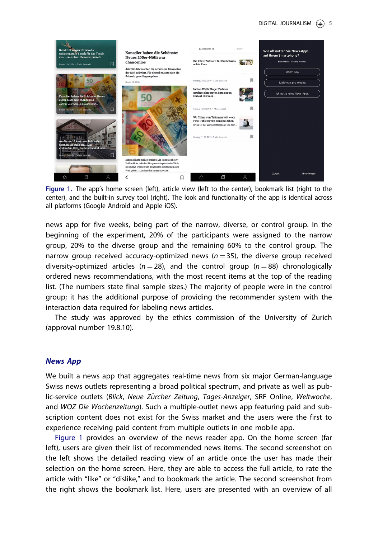#### DIGITAL JOURNALISM  $\circledcirc$  5



Figure 1. The app's home screen (left), article view (left to the center), bookmark list (right to the center), and the built-in survey tool (right). The look and functionality of the app is identical across all platforms (Google Android and Apple iOS).

news app for five weeks, being part of the narrow, diverse, or control group. In the beginning of the experiment, 20% of the participants were assigned to the narrow group, 20% to the diverse group and the remaining 60% to the control group. The narrow group received accuracy-optimized news ( $n = 35$ ), the diverse group received diversity-optimized articles ( $n = 28$ ), and the control group ( $n = 88$ ) chronologically ordered news recommendations, with the most recent items at the top of the reading list. (The numbers state final sample sizes.) The majority of people were in the control group; it has the additional purpose of providing the recommender system with the interaction data required for labeling news articles.

The study was approved by the ethics commission of the University of Zurich (approval number 19.8.10).

### News App

We built a news app that aggregates real-time news from six major German-language Swiss news outlets representing a broad political spectrum, and private as well as public-service outlets (Blick, Neue Zürcher Zeitung, Tages-Anzeiger, SRF Online, Weltwoche, and WOZ Die Wochenzeitung). Such a multiple-outlet news app featuring paid and subscription content does not exist for the Swiss market and the users were the first to experience receiving paid content from multiple outlets in one mobile app.

Figure 1 provides an overview of the news reader app. On the home screen (far left), users are given their list of recommended news items. The second screenshot on the left shows the detailed reading view of an article once the user has made their selection on the home screen. Here, they are able to access the full article, to rate the article with "like" or "dislike," and to bookmark the article. The second screenshot from the right shows the bookmark list. Here, users are presented with an overview of all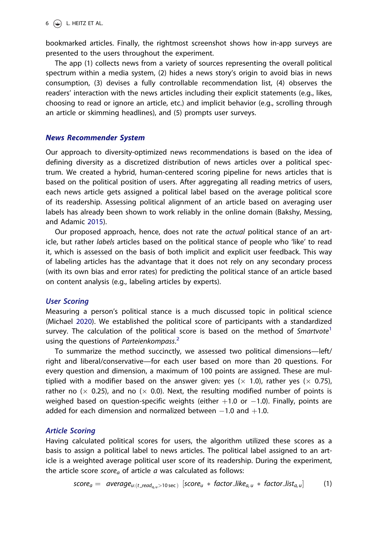<span id="page-5-0"></span>bookmarked articles. Finally, the rightmost screenshot shows how in-app surveys are presented to the users throughout the experiment.

The app (1) collects news from a variety of sources representing the overall political spectrum within a media system, (2) hides a news story's origin to avoid bias in news consumption, (3) devises a fully controllable recommendation list, (4) observes the readers' interaction with the news articles including their explicit statements (e.g., likes, choosing to read or ignore an article, etc.) and implicit behavior (e.g., scrolling through an article or skimming headlines), and (5) prompts user surveys.

### News Recommender System

Our approach to diversity-optimized news recommendations is based on the idea of defining diversity as a discretized distribution of news articles over a political spectrum. We created a hybrid, human-centered scoring pipeline for news articles that is based on the political position of users. After aggregating all reading metrics of users, each news article gets assigned a political label based on the average political score of its readership. Assessing political alignment of an article based on averaging user labels has already been shown to work reliably in the online domain (Bakshy, Messing, and Adamic [2015\)](#page-17-0).

Our proposed approach, hence, does not rate the actual political stance of an article, but rather *labels* articles based on the political stance of people who 'like' to read it, which is assessed on the basis of both implicit and explicit user feedback. This way of labeling articles has the advantage that it does not rely on any secondary process (with its own bias and error rates) for predicting the political stance of an article based on content analysis (e.g., labeling articles by experts).

#### User Scoring

Measuring a person's political stance is a much discussed topic in political science (Michael [2020\)](#page-18-0). We established the political score of participants with a standardized survey. The calculation of the political score is based on the method of  $Smartvote<sup>1</sup>$  $Smartvote<sup>1</sup>$  $Smartvote<sup>1</sup>$ using the questions of Parteienkompass.<sup>[2](#page-16-0)</sup>

To summarize the method succinctly, we assessed two political dimensions—left/ right and liberal/conservative—for each user based on more than 20 questions. For every question and dimension, a maximum of 100 points are assigned. These are multiplied with a modifier based on the answer given: yes  $(x 1.0)$ , rather yes  $(x 0.75)$ , rather no ( $\times$  0.25), and no ( $\times$  0.0). Next, the resulting modified number of points is weighed based on question-specific weights (either  $+1.0$  or  $-1.0$ ). Finally, points are added for each dimension and normalized between  $-1.0$  and  $+1.0$ .

#### Article Scoring

Having calculated political scores for users, the algorithm utilized these scores as a basis to assign a political label to news articles. The political label assigned to an article is a weighted average political user score of its readership. During the experiment, the article score score<sub>a</sub> of article  $a$  was calculated as follows:

$$
score_a = average_{u:(t\_read_{a,u}>10 \text{ sec})} [score_u * factor\_like_{a,u} * factor\_list_{a,u}]
$$
 (1)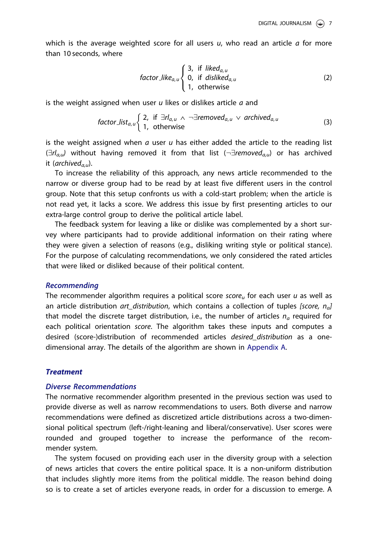which is the average weighted score for all users  $u$ , who read an article  $a$  for more than 10 seconds, where

$$
factor\_like_{a,u} \begin{cases} 3, & \text{if } liked_{a,u} \\ 0, & \text{if } disliked_{a,u} \\ 1, & \text{otherwise} \end{cases}
$$
 (2)

is the weight assigned when user  $u$  likes or dislikes article  $a$  and

$$
factor\_list_{a,u} \left\{ \begin{array}{ll} 2, & \text{if } \exists r I_{a,u} \land \neg \exists removed_{a,u} \lor archived_{a,u} \\ 1, & \text{otherwise} \end{array} \right. \tag{3}
$$

is the weight assigned when  $a$  user  $u$  has either added the article to the reading list  $(\exists r l_{a,\mu})$  without having removed it from that list  $(\neg \exists removed_{a,\mu})$  or has archived it (archived $_{a}$ ,).

To increase the reliability of this approach, any news article recommended to the narrow or diverse group had to be read by at least five different users in the control group. Note that this setup confronts us with a cold-start problem; when the article is not read yet, it lacks a score. We address this issue by first presenting articles to our extra-large control group to derive the political article label.

The feedback system for leaving a like or dislike was complemented by a short survey where participants had to provide additional information on their rating where they were given a selection of reasons (e.g., disliking writing style or political stance). For the purpose of calculating recommendations, we only considered the rated articles that were liked or disliked because of their political content.

#### Recommending

The recommender algorithm requires a political score score<sub>u</sub> for each user u as well as an article distribution art\_distribution, which contains a collection of tuples [score,  $n_d$ ] that model the discrete target distribution, i.e., the number of articles  $n_a$  required for each political orientation score. The algorithm takes these inputs and computes a desired (score-)distribution of recommended articles *desired distribution* as a onedimensional array. The details of the algorithm are shown in [Appendix A.](#page-19-0)

#### **Treatment**

#### Diverse Recommendations

The normative recommender algorithm presented in the previous section was used to provide diverse as well as narrow recommendations to users. Both diverse and narrow recommendations were defined as discretized article distributions across a two-dimensional political spectrum (left-/right-leaning and liberal/conservative). User scores were rounded and grouped together to increase the performance of the recommender system.

The system focused on providing each user in the diversity group with a selection of news articles that covers the entire political space. It is a non-uniform distribution that includes slightly more items from the political middle. The reason behind doing so is to create a set of articles everyone reads, in order for a discussion to emerge. A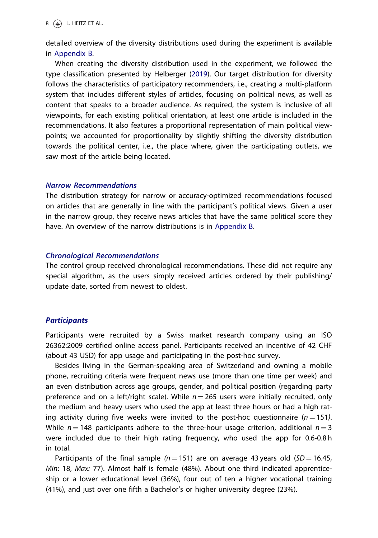detailed overview of the diversity distributions used during the experiment is available in [Appendix B](#page-19-0).

When creating the diversity distribution used in the experiment, we followed the type classification presented by Helberger [\(2019\)](#page-17-0). Our target distribution for diversity follows the characteristics of participatory recommenders, i.e., creating a multi-platform system that includes different styles of articles, focusing on political news, as well as content that speaks to a broader audience. As required, the system is inclusive of all viewpoints, for each existing political orientation, at least one article is included in the recommendations. It also features a proportional representation of main political viewpoints; we accounted for proportionality by slightly shifting the diversity distribution towards the political center, i.e., the place where, given the participating outlets, we saw most of the article being located.

#### Narrow Recommendations

The distribution strategy for narrow or accuracy-optimized recommendations focused on articles that are generally in line with the participant's political views. Given a user in the narrow group, they receive news articles that have the same political score they have. An overview of the narrow distributions is in [Appendix B](#page-19-0).

#### Chronological Recommendations

The control group received chronological recommendations. These did not require any special algorithm, as the users simply received articles ordered by their publishing/ update date, sorted from newest to oldest.

### **Participants**

Participants were recruited by a Swiss market research company using an ISO 26362:2009 certified online access panel. Participants received an incentive of 42 CHF (about 43 USD) for app usage and participating in the post-hoc survey.

Besides living in the German-speaking area of Switzerland and owning a mobile phone, recruiting criteria were frequent news use (more than one time per week) and an even distribution across age groups, gender, and political position (regarding party preference and on a left/right scale). While  $n = 265$  users were initially recruited, only the medium and heavy users who used the app at least three hours or had a high rating activity during five weeks were invited to the post-hoc questionnaire ( $n = 151$ ). While  $n = 148$  participants adhere to the three-hour usage criterion, additional  $n = 3$ were included due to their high rating frequency, who used the app for 0.6-0.8 h in total.

Participants of the final sample ( $n = 151$ ) are on average 43 years old ( $SD = 16.45$ , Min: 18, Max: 77). Almost half is female (48%). About one third indicated apprenticeship or a lower educational level (36%), four out of ten a higher vocational training (41%), and just over one fifth a Bachelor's or higher university degree (23%).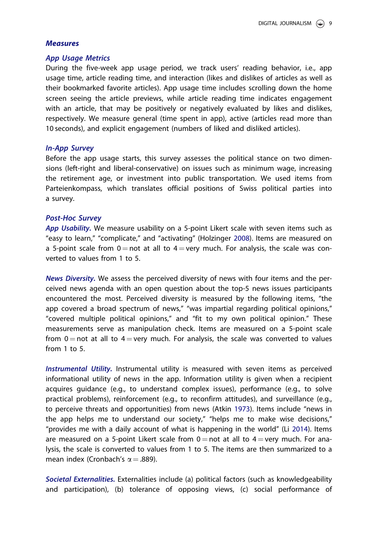### <span id="page-8-0"></span>Measures

#### App Usage Metrics

During the five-week app usage period, we track users' reading behavior, i.e., app usage time, article reading time, and interaction (likes and dislikes of articles as well as their bookmarked favorite articles). App usage time includes scrolling down the home screen seeing the article previews, while article reading time indicates engagement with an article, that may be positively or negatively evaluated by likes and dislikes, respectively. We measure general (time spent in app), active (articles read more than 10 seconds), and explicit engagement (numbers of liked and disliked articles).

#### In-App Survey

Before the app usage starts, this survey assesses the political stance on two dimensions (left-right and liberal-conservative) on issues such as minimum wage, increasing the retirement age, or investment into public transportation. We used items from Parteienkompass, which translates official positions of Swiss political parties into a survey.

### Post-Hoc Survey

App Usability. We measure usability on a 5-point Likert scale with seven items such as "easy to learn," "complicate," and "activating" (Holzinger [2008\)](#page-17-0). Items are measured on a 5-point scale from  $0 =$  not at all to  $4 =$  very much. For analysis, the scale was converted to values from 1 to 5.

News Diversity. We assess the perceived diversity of news with four items and the perceived news agenda with an open question about the top-5 news issues participants encountered the most. Perceived diversity is measured by the following items, "the app covered a broad spectrum of news," "was impartial regarding political opinions," "covered multiple political opinions," and "fit to my own political opinion." These measurements serve as manipulation check. Items are measured on a 5-point scale from  $0 =$  not at all to  $4 =$  very much. For analysis, the scale was converted to values from 1 to 5.

Instrumental Utility. Instrumental utility is measured with seven items as perceived informational utility of news in the app. Information utility is given when a recipient acquires guidance (e.g., to understand complex issues), performance (e.g., to solve practical problems), reinforcement (e.g., to reconfirm attitudes), and surveillance (e.g., to perceive threats and opportunities) from news (Atkin [1973](#page-16-0)). Items include "news in the app helps me to understand our society," "helps me to make wise decisions," "provides me with a daily account of what is happening in the world" (Li [2014\)](#page-18-0). Items are measured on a 5-point Likert scale from  $0 =$  not at all to  $4 =$  very much. For analysis, the scale is converted to values from 1 to 5. The items are then summarized to a mean index (Cronbach's  $\alpha = .889$ ).

Societal Externalities. Externalities include (a) political factors (such as knowledgeability and participation), (b) tolerance of opposing views, (c) social performance of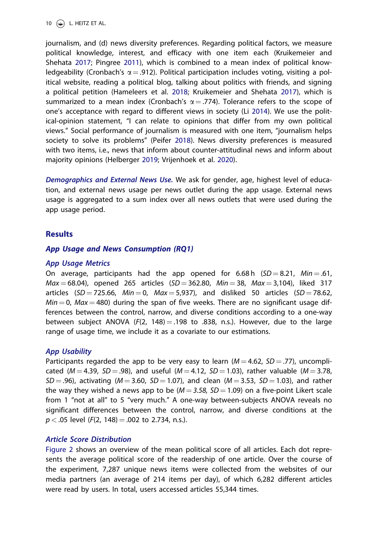<span id="page-9-0"></span>journalism, and (d) news diversity preferences. Regarding political factors, we measure political knowledge, interest, and efficacy with one item each (Kruikemeier and Shehata [2017;](#page-18-0) Pingree [2011](#page-18-0)), which is combined to a mean index of political knowledgeability (Cronbach's  $\alpha$  = .912). Political participation includes voting, visiting a political website, reading a political blog, talking about politics with friends, and signing a political petition (Hameleers et al. [2018](#page-17-0); Kruikemeier and Shehata [2017](#page-18-0)), which is summarized to a mean index (Cronbach's  $\alpha = 0.774$ ). Tolerance refers to the scope of one's acceptance with regard to different views in society (Li [2014](#page-18-0)). We use the political-opinion statement, "I can relate to opinions that differ from my own political views." Social performance of journalism is measured with one item, "journalism helps society to solve its problems" (Peifer [2018\)](#page-18-0). News diversity preferences is measured with two items, i.e., news that inform about counter-attitudinal news and inform about majority opinions (Helberger [2019;](#page-17-0) Vrijenhoek et al. [2020](#page-19-0)).

Demographics and External News Use. We ask for gender, age, highest level of education, and external news usage per news outlet during the app usage. External news usage is aggregated to a sum index over all news outlets that were used during the app usage period.

#### **Results**

#### App Usage and News Consumption (RQ1)

#### App Usage Metrics

On average, participants had the app opened for 6.68 h  $(SD = 8.21, Min = .61,$  $Max = 68.04$ , opened 265 articles (SD = 362.80, Min = 38, Max = 3,104), liked 317 articles (SD = 725.66, Min = 0, Max = 5,937), and disliked 50 articles (SD = 78.62,  $Min = 0$ , Max = 480) during the span of five weeks. There are no significant usage differences between the control, narrow, and diverse conditions according to a one-way between subject ANOVA ( $F(2, 148) = .198$  to .838, n.s.). However, due to the large range of usage time, we include it as a covariate to our estimations.

#### App Usability

Participants regarded the app to be very easy to learn ( $M = 4.62$ ,  $SD = .77$ ), uncomplicated ( $M = 4.39$ ,  $SD = .98$ ), and useful ( $M = 4.12$ ,  $SD = 1.03$ ), rather valuable ( $M = 3.78$ ,  $SD = .96$ ), activating ( $M = 3.60$ ,  $SD = 1.07$ ), and clean ( $M = 3.53$ ,  $SD = 1.03$ ), and rather the way they wished a news app to be  $(M = 3.58, SD = 1.09)$  on a five-point Likert scale from 1 "not at all" to 5 "very much." A one-way between-subjects ANOVA reveals no significant differences between the control, narrow, and diverse conditions at the  $p < .05$  level ( $F(2, 148) = .002$  to 2.734, n.s.).

#### Article Score Distribution

[Figure 2](#page-10-0) shows an overview of the mean political score of all articles. Each dot represents the average political score of the readership of one article. Over the course of the experiment, 7,287 unique news items were collected from the websites of our media partners (an average of 214 items per day), of which 6,282 different articles were read by users. In total, users accessed articles 55,344 times.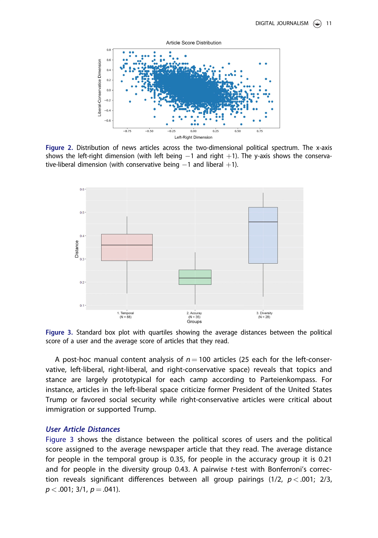<span id="page-10-0"></span>

Figure 2. Distribution of news articles across the two-dimensional political spectrum. The x-axis shows the left-right dimension (with left being  $-1$  and right  $+1$ ). The y-axis shows the conservative-liberal dimension (with conservative being  $-1$  and liberal  $+1$ ).



Figure 3. Standard box plot with quartiles showing the average distances between the political score of a user and the average score of articles that they read.

A post-hoc manual content analysis of  $n = 100$  articles (25 each for the left-conservative, left-liberal, right-liberal, and right-conservative space) reveals that topics and stance are largely prototypical for each camp according to Parteienkompass. For instance, articles in the left-liberal space criticize former President of the United States Trump or favored social security while right-conservative articles were critical about immigration or supported Trump.

### User Article Distances

Figure 3 shows the distance between the political scores of users and the political score assigned to the average newspaper article that they read. The average distance for people in the temporal group is 0.35, for people in the accuracy group it is 0.21 and for people in the diversity group 0.43. A pairwise t-test with Bonferroni's correction reveals significant differences between all group pairings  $(1/2, p < .001; 2/3,$  $p < .001$ ; 3/1,  $p = .041$ ).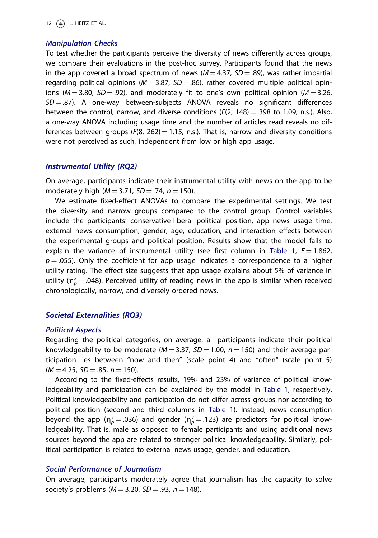#### Manipulation Checks

To test whether the participants perceive the diversity of news differently across groups, we compare their evaluations in the post-hoc survey. Participants found that the news in the app covered a broad spectrum of news  $(M = 4.37, SD = .89)$ , was rather impartial regarding political opinions ( $M = 3.87$ ,  $SD = .86$ ), rather covered multiple political opinions ( $M = 3.80$ ,  $SD = .92$ ), and moderately fit to one's own political opinion ( $M = 3.26$ ,  $SD = .87$ ). A one-way between-subjects ANOVA reveals no significant differences between the control, narrow, and diverse conditions  $(F(2, 148) = .398$  to 1.09, n.s.). Also, a one-way ANOVA including usage time and the number of articles read reveals no differences between groups  $(F(8, 262) = 1.15, n.s.).$  That is, narrow and diversity conditions were not perceived as such, independent from low or high app usage.

#### Instrumental Utility (RQ2)

On average, participants indicate their instrumental utility with news on the app to be moderately high ( $M = 3.71$ ,  $SD = .74$ ,  $n = 150$ ).

We estimate fixed-effect ANOVAs to compare the experimental settings. We test the diversity and narrow groups compared to the control group. Control variables include the participants' conservative-liberal political position, app news usage time, external news consumption, gender, age, education, and interaction effects between the experimental groups and political position. Results show that the model fails to explain the variance of instrumental utility (see first column in [Table 1,](#page-12-0)  $F = 1.862$ ,  $p = .055$ ). Only the coefficient for app usage indicates a correspondence to a higher utility rating. The effect size suggests that app usage explains about 5% of variance in utility ( $\eta_\rho^2$  = .048). Perceived utility of reading news in the app is similar when received chronologically, narrow, and diversely ordered news.

#### Societal Externalities (RQ3)

#### Political Aspects

Regarding the political categories, on average, all participants indicate their political knowledgeability to be moderate ( $M = 3.37$ ,  $SD = 1.00$ ,  $n = 150$ ) and their average participation lies between "now and then" (scale point 4) and "often" (scale point 5)  $(M = 4.25, SD = .85, n = 150).$ 

According to the fixed-effects results, 19% and 23% of variance of political knowledgeability and participation can be explained by the model in [Table 1](#page-12-0), respectively. Political knowledgeability and participation do not differ across groups nor according to political position (second and third columns in [Table 1\)](#page-12-0). Instead, news consumption beyond the app ( $\eta_\rho^2$  = .036) and gender ( $\eta_\rho^2$  = .123) are predictors for political knowledgeability. That is, male as opposed to female participants and using additional news sources beyond the app are related to stronger political knowledgeability. Similarly, political participation is related to external news usage, gender, and education.

#### Social Performance of Journalism

On average, participants moderately agree that journalism has the capacity to solve society's problems ( $M = 3.20$ ,  $SD = .93$ ,  $n = 148$ ).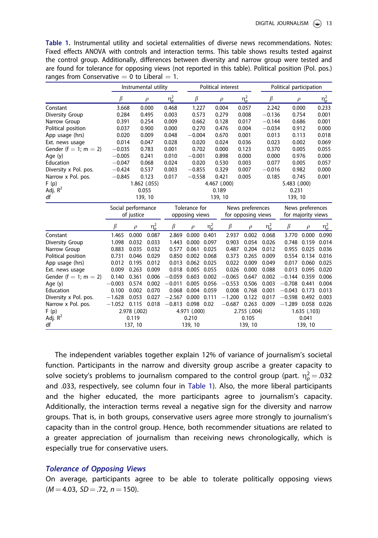<span id="page-12-0"></span>Table 1. Instrumental utility and societal externalities of diverse news recommendations. Notes: Fixed effects ANOVA with controls and interaction terms. This table shows results tested against the control group. Additionally, differences between diversity and narrow group were tested and are found for tolerance for opposing views (not reported in this table). Political position (Pol. pos.) ranges from Conservative  $= 0$  to Liberal  $= 1$ .

|                       |                    | Instrumental utility |               |                     |                              | Political interest |                |                    |                    | Political participation |              |            |  |
|-----------------------|--------------------|----------------------|---------------|---------------------|------------------------------|--------------------|----------------|--------------------|--------------------|-------------------------|--------------|------------|--|
|                       | β                  |                      | $\rho$        | $\eta_p^2$          | $\beta$                      |                    | $\rho$         | $\eta_p^2$         | $\beta$            | $\rho$                  |              | $\eta_p^2$ |  |
| Constant              | 3.668              |                      | 0.000         | 0.468               | 1.227                        |                    | 0.004          | 0.057              |                    | 0.000<br>2.242          |              | 0.233      |  |
| Diversity Group       | 0.284              |                      | 0.495         | 0.003               | 0.573                        |                    | 0.279          | 0.008              |                    | 0.754<br>$-0.136$       |              | 0.001      |  |
| Narrow Group          |                    | 0.391<br>0.254       |               | 0.009               | 0.662                        |                    | 0.128<br>0.017 |                    | $-0.144$           | 0.686                   |              | 0.001      |  |
| Political position    | 0.037              |                      | 0.900         | 0.000               | 0.270                        |                    | 0.476          | 0.004              | $-0.034$           | 0.912                   |              | 0.000      |  |
| App usage (hrs)       | 0.020              |                      | 0.009         | 0.048               | $-0.004$                     |                    | 0.670          | 0.001              | 0.013              | 0.113                   |              | 0.018      |  |
| Ext. news usage       | 0.014              |                      | 0.047         | 0.028               | 0.020                        |                    | 0.024          | 0.036              | 0.023              | 0.002                   |              | 0.069      |  |
| Gender (f = 1; m = 2) | $-0.035$           |                      | 0.783         | 0.001               | 0.702                        |                    | 0.000          | 0.123              | 0.370              | 0.005                   |              | 0.055      |  |
| Age (y)               | $-0.005$           |                      | 0.241         | 0.010               | $-0.001$                     |                    | 0.898          | 0.000              | 0.000              | 0.976                   |              | 0.000      |  |
| Education             | $-0.047$           |                      | 0.068         | 0.024               | 0.020                        |                    | 0.530          | 0.003              | 0.077              | 0.005                   |              | 0.057      |  |
| Diversity x Pol. pos. | $-0.424$           |                      | 0.537         | 0.003               | $-0.855$                     |                    | 0.329          | 0.007              | $-0.016$           | 0.982                   |              | 0.000      |  |
| Narrow x Pol. pos.    | $-0.845$           |                      | 0.123         | 0.017               | $-0.558$                     |                    | 0.421          | 0.005              | 0.185              | 0.745                   |              | 0.001      |  |
| F(p)                  |                    |                      | 1.862 (.055)  |                     | 4.467 (.000)<br>5.483 (.000) |                    |                |                    |                    |                         |              |            |  |
| Adj. $R^2$            |                    | 0.055<br>0.189       |               |                     |                              |                    |                | 0.231              |                    |                         |              |            |  |
| df                    |                    |                      | 139, 10       |                     |                              |                    | 139, 10        |                    |                    | 139, 10                 |              |            |  |
|                       | Social performance |                      | Tolerance for |                     |                              | News preferences   |                |                    | News preferences   |                         |              |            |  |
|                       |                    | of justice           |               | opposing views      |                              |                    |                | for opposing views | for majority views |                         |              |            |  |
|                       | β                  | $\rho$               | $\eta_p^2$    | β                   | $\rho$                       | $\eta_p^2$         | $\beta$        | $\rho$             | $\eta_p^2$         | $\beta$                 | $\rho$       | $\eta_p^2$ |  |
| Constant              | 1.465              | 0.000                | 0.087         | 2.869               | 0.000                        | 0.401              | 2.937          | 0.002              | 0.068              | 3.770                   | 0.000        | 0.090      |  |
| Diversity Group       | 1.098              | 0.032                | 0.033         | 1.443               | 0.000                        | 0.097              | 0.903          | 0.054              | 0.026              | 0.748                   | 0.159        | 0.014      |  |
| Narrow Group          | 0.883              | 0.035                | 0.032         | 0.577               | 0.061                        | 0.025              | 0.487          | 0.204              | 0.012              | 0.955                   | 0.025        | 0.036      |  |
| Political position    | 0.731              | 0.046                | 0.029         | 0.850               |                              | 0.002 0.068        | 0.373          | 0.265              | 0.009              | 0.554                   | 0.134        | 0.016      |  |
| App usage (hrs)       | 0.012              | 0.195                | 0.012         | 0.013               | 0.062                        | 0.025              | 0.022          | 0.009              | 0.049              | 0.017                   | 0.060        | 0.025      |  |
| Ext. news usage       | 0.009              | 0.263                | 0.009         | 0.018               | 0.005                        | 0.055              | 0.026          | 0.000              | 0.088              | 0.013                   | 0.095        | 0.020      |  |
| Gender (f = 1; m = 2) | 0.140              | 0.361                | 0.006         | $-0.059$            | 0.603                        | 0.002              | $-0.065$       | 0.647              | 0.002              | $-0.144$                | 0.359        | 0.006      |  |
| Age (y)               | $-0.003$           | 0.574                | 0.002         | $-0.011$            | 0.005                        | 0.056              | $-0.553$       | 0.506              | 0.003              | $-0.708$                | 0.441        | 0.004      |  |
| Education             | 0.100              | 0.002                | 0.070         | 0.068               | 0.004 0.059                  |                    | 0.008          | 0.768              | 0.001              | $-0.043$                | 0.173        | 0.013      |  |
| Diversity x Pol. pos. | $-1.628$           | 0.053                | 0.027         | $-2.567$            | 0.000                        | 0.111              | $-1.200$       | 0.122              | 0.017              | $-0.598$                | 0.492        | 0.003      |  |
| Narrow x Pol. pos.    | $-1.052$           | 0.115                | 0.018         | $-0.813$ 0.098 0.02 |                              |                    | $-0.687$       | 0.263              | 0.009              | $-1.289$ 0.058 0.026    |              |            |  |
| F(p)                  |                    | 2.978 (.002)         |               |                     | 4.971 (.000)                 |                    |                | 2.755 (.004)       |                    |                         | 1.635 (.103) |            |  |
| Adj. $R^2$            |                    | 0.119                |               |                     | 0.210                        |                    |                | 0.105              |                    |                         | 0.041        |            |  |
| df                    | 137, 10            |                      |               | 139, 10             |                              |                    | 139, 10        |                    |                    | 139, 10                 |              |            |  |

The independent variables together explain 12% of variance of journalism's societal function. Participants in the narrow and diversity group ascribe a greater capacity to solve society's problems to journalism compared to the control group (part.  $\eta_\rho^2$   $=$  .032 and .033, respectively, see column four in Table 1). Also, the more liberal participants and the higher educated, the more participants agree to journalism's capacity. Additionally, the interaction terms reveal a negative sign for the diversity and narrow groups. That is, in both groups, conservative users agree more strongly to journalism's capacity than in the control group. Hence, both recommender situations are related to a greater appreciation of journalism than receiving news chronologically, which is especially true for conservative users.

#### Tolerance of Opposing Views

On average, participants agree to be able to tolerate politically opposing views  $(M = 4.03, SD = .72, n = 150).$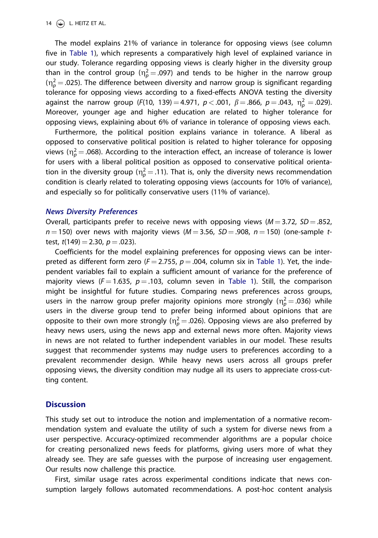The model explains 21% of variance in tolerance for opposing views (see column five in [Table 1](#page-12-0)), which represents a comparatively high level of explained variance in our study. Tolerance regarding opposing views is clearly higher in the diversity group than in the control group ( $\eta_p^2 = .097$ ) and tends to be higher in the narrow group ( $\eta_\rho^2$   $=$  .025). The difference between diversity and narrow group is significant regarding tolerance for opposing views according to a fixed-effects ANOVA testing the diversity against the narrow group (F(10, 139)  $=$  4.971,  $p$   $<$  .001,  $\beta$   $=$  .866,  $p$   $=$  .043,  $\eta_{\rho}^{2}$   $=$  .029). Moreover, younger age and higher education are related to higher tolerance for opposing views, explaining about 6% of variance in tolerance of opposing views each.

Furthermore, the political position explains variance in tolerance. A liberal as opposed to conservative political position is related to higher tolerance for opposing views ( $\eta_\rho^2$   $=$  .068). According to the interaction effect, an increase of tolerance is lower for users with a liberal political position as opposed to conservative political orientation in the diversity group ( $\eta_\rho^2$   $=$  .11). That is, only the diversity news recommendation condition is clearly related to tolerating opposing views (accounts for 10% of variance), and especially so for politically conservative users (11% of variance).

#### News Diversity Preferences

Overall, participants prefer to receive news with opposing views ( $M = 3.72$ ,  $SD = .852$ ,  $n = 150$ ) over news with majority views ( $M = 3.56$ ,  $SD = .908$ ,  $n = 150$ ) (one-sample ttest,  $t(149) = 2.30$ ,  $p = .023$ ).

Coefficients for the model explaining preferences for opposing views can be interpreted as different form zero ( $F = 2.755$ ,  $p = .004$ , column six in [Table 1\)](#page-12-0). Yet, the independent variables fail to explain a sufficient amount of variance for the preference of majority views ( $F = 1.635$ ,  $p = .103$ , column seven in [Table 1\)](#page-12-0). Still, the comparison might be insightful for future studies. Comparing news preferences across groups, users in the narrow group prefer majority opinions more strongly ( $\eta_p^2$  = .036) while users in the diverse group tend to prefer being informed about opinions that are opposite to their own more strongly ( $\eta_\rho^2$   $=$  .026). Opposing views are also preferred by heavy news users, using the news app and external news more often. Majority views in news are not related to further independent variables in our model. These results suggest that recommender systems may nudge users to preferences according to a prevalent recommender design. While heavy news users across all groups prefer opposing views, the diversity condition may nudge all its users to appreciate cross-cutting content.

### **Discussion**

This study set out to introduce the notion and implementation of a normative recommendation system and evaluate the utility of such a system for diverse news from a user perspective. Accuracy-optimized recommender algorithms are a popular choice for creating personalized news feeds for platforms, giving users more of what they already see. They are safe guesses with the purpose of increasing user engagement. Our results now challenge this practice.

First, similar usage rates across experimental conditions indicate that news consumption largely follows automated recommendations. A post-hoc content analysis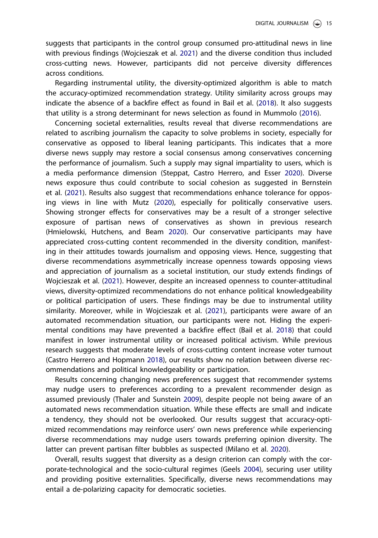suggests that participants in the control group consumed pro-attitudinal news in line with previous findings (Wojcieszak et al. [2021](#page-19-0)) and the diverse condition thus included cross-cutting news. However, participants did not perceive diversity differences across conditions.

Regarding instrumental utility, the diversity-optimized algorithm is able to match the accuracy-optimized recommendation strategy. Utility similarity across groups may indicate the absence of a backfire effect as found in Bail et al. ([2018](#page-16-0)). It also suggests that utility is a strong determinant for news selection as found in Mummolo ([2016](#page-18-0)).

Concerning societal externalities, results reveal that diverse recommendations are related to ascribing journalism the capacity to solve problems in society, especially for conservative as opposed to liberal leaning participants. This indicates that a more diverse news supply may restore a social consensus among conservatives concerning the performance of journalism. Such a supply may signal impartiality to users, which is a media performance dimension (Steppat, Castro Herrero, and Esser [2020](#page-18-0)). Diverse news exposure thus could contribute to social cohesion as suggested in Bernstein et al. [\(2021\)](#page-17-0). Results also suggest that recommendations enhance tolerance for opposing views in line with Mutz [\(2020\)](#page-18-0), especially for politically conservative users. Showing stronger effects for conservatives may be a result of a stronger selective exposure of partisan news of conservatives as shown in previous research (Hmielowski, Hutchens, and Beam [2020\)](#page-17-0). Our conservative participants may have appreciated cross-cutting content recommended in the diversity condition, manifesting in their attitudes towards journalism and opposing views. Hence, suggesting that diverse recommendations asymmetrically increase openness towards opposing views and appreciation of journalism as a societal institution, our study extends findings of Wojcieszak et al. [\(2021\)](#page-19-0). However, despite an increased openness to counter-attitudinal views, diversity-optimized recommendations do not enhance political knowledgeability or political participation of users. These findings may be due to instrumental utility similarity. Moreover, while in Wojcieszak et al. ([2021](#page-19-0)), participants were aware of an automated recommendation situation, our participants were not. Hiding the experimental conditions may have prevented a backfire effect (Bail et al. [2018](#page-16-0)) that could manifest in lower instrumental utility or increased political activism. While previous research suggests that moderate levels of cross-cutting content increase voter turnout (Castro Herrero and Hopmann [2018\)](#page-17-0), our results show no relation between diverse recommendations and political knowledgeability or participation.

Results concerning changing news preferences suggest that recommender systems may nudge users to preferences according to a prevalent recommender design as assumed previously (Thaler and Sunstein [2009](#page-18-0)), despite people not being aware of an automated news recommendation situation. While these effects are small and indicate a tendency, they should not be overlooked. Our results suggest that accuracy-optimized recommendations may reinforce users' own news preference while experiencing diverse recommendations may nudge users towards preferring opinion diversity. The latter can prevent partisan filter bubbles as suspected (Milano et al. [2020\)](#page-18-0).

Overall, results suggest that diversity as a design criterion can comply with the corporate-technological and the socio-cultural regimes (Geels [2004\)](#page-17-0), securing user utility and providing positive externalities. Specifically, diverse news recommendations may entail a de-polarizing capacity for democratic societies.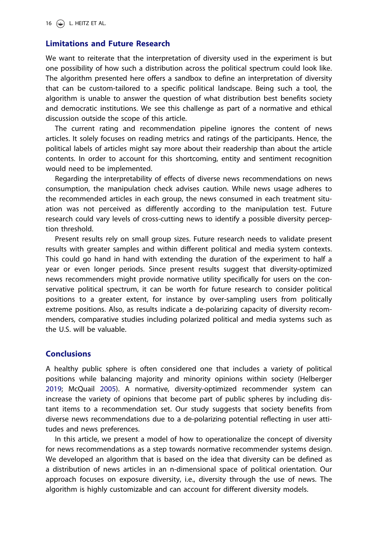### Limitations and Future Research

We want to reiterate that the interpretation of diversity used in the experiment is but one possibility of how such a distribution across the political spectrum could look like. The algorithm presented here offers a sandbox to define an interpretation of diversity that can be custom-tailored to a specific political landscape. Being such a tool, the algorithm is unable to answer the question of what distribution best benefits society and democratic institutions. We see this challenge as part of a normative and ethical discussion outside the scope of this article.

The current rating and recommendation pipeline ignores the content of news articles. It solely focuses on reading metrics and ratings of the participants. Hence, the political labels of articles might say more about their readership than about the article contents. In order to account for this shortcoming, entity and sentiment recognition would need to be implemented.

Regarding the interpretability of effects of diverse news recommendations on news consumption, the manipulation check advises caution. While news usage adheres to the recommended articles in each group, the news consumed in each treatment situation was not perceived as differently according to the manipulation test. Future research could vary levels of cross-cutting news to identify a possible diversity perception threshold.

Present results rely on small group sizes. Future research needs to validate present results with greater samples and within different political and media system contexts. This could go hand in hand with extending the duration of the experiment to half a year or even longer periods. Since present results suggest that diversity-optimized news recommenders might provide normative utility specifically for users on the conservative political spectrum, it can be worth for future research to consider political positions to a greater extent, for instance by over-sampling users from politically extreme positions. Also, as results indicate a de-polarizing capacity of diversity recommenders, comparative studies including polarized political and media systems such as the U.S. will be valuable.

### **Conclusions**

A healthy public sphere is often considered one that includes a variety of political positions while balancing majority and minority opinions within society (Helberger [2019](#page-17-0); McQuail [2005](#page-18-0)). A normative, diversity-optimized recommender system can increase the variety of opinions that become part of public spheres by including distant items to a recommendation set. Our study suggests that society benefits from diverse news recommendations due to a de-polarizing potential reflecting in user attitudes and news preferences.

In this article, we present a model of how to operationalize the concept of diversity for news recommendations as a step towards normative recommender systems design. We developed an algorithm that is based on the idea that diversity can be defined as a distribution of news articles in an n-dimensional space of political orientation. Our approach focuses on exposure diversity, i.e., diversity through the use of news. The algorithm is highly customizable and can account for different diversity models.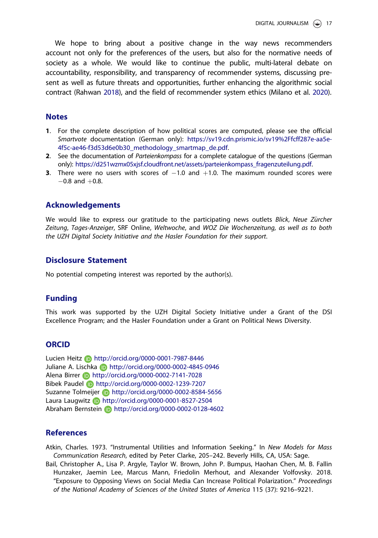<span id="page-16-0"></span>We hope to bring about a positive change in the way news recommenders account not only for the preferences of the users, but also for the normative needs of society as a whole. We would like to continue the public, multi-lateral debate on accountability, responsibility, and transparency of recommender systems, discussing present as well as future threats and opportunities, further enhancing the algorithmic social contract (Rahwan [2018](#page-18-0)), and the field of recommender system ethics (Milano et al. [2020](#page-18-0)).

#### **Notes**

- [1](#page-5-0). For the complete description of how political scores are computed, please see the official Smartvote documentation (German only): [https://sv19.cdn.prismic.io/sv19%2Ffcff287e-aa5e-](https://sv19.cdn.prismic.io/sv19%2Ffcff287e-aa5e-4f5c-ae46-f3d53d6e0b30_methodology_smartmap_de.pdf)[4f5c-ae46-f3d53d6e0b30\\_methodology\\_smartmap\\_de.pdf](https://sv19.cdn.prismic.io/sv19%2Ffcff287e-aa5e-4f5c-ae46-f3d53d6e0b30_methodology_smartmap_de.pdf).
- [2](#page-5-0). See the documentation of Parteienkompass for a complete catalogue of the questions (German only): [https://d251wzmx05xjsf.cloudfront.net/assets/parteienkompass\\_fragenzuteilung.pdf.](https://d251wzmx05xjsf.cloudfront.net/assets/parteienkompass_fragenzuteilung.pdf)
- **[3](#page-19-0).** There were no users with scores of  $-1.0$  and  $+1.0$ . The maximum rounded scores were  $-0.8$  and  $+0.8$ .

#### Acknowledgements

We would like to express our gratitude to the participating news outlets Blick, Neue Zürcher Zeitung, Tages-Anzeiger, SRF Online, Weltwoche, and WOZ Die Wochenzeitung, as well as to both the UZH Digital Society Initiative and the Hasler Foundation for their support.

### Disclosure Statement

No potential competing interest was reported by the author(s).

### Funding

This work was supported by the UZH Digital Society Initiative under a Grant of the DSI Excellence Program; and the Hasler Foundation under a Grant on Political News Diversity.

### **ORCID**

Lucien Heitz **b** http://orcid.org/0000-0001-7987-8446 Juliane A. Lischka **http://orcid.org/0000-0002-4845-0946** Alena Birrer **b** http://orcid.org/0000-0002-7141-7028 Bibek Paudel http://orcid.org/0000-0002-1239-7207 Suzanne Tolmeijer **b** http://orcid.org/0000-0002-8584-5656 Laura Laugwitz **b** http://orcid.org/0000-0001-8527-2504 Abraham Bernstein **b** http://orcid.org/0000-0002-0128-4602

### **References**

Atkin, Charles. [1973.](#page-3-0) "Instrumental Utilities and Information Seeking." In New Models for Mass Communication Research, edited by Peter Clarke, 205–242. Beverly Hills, CA, USA: Sage.

Bail, Christopher A., Lisa P. Argyle, Taylor W. Brown, John P. Bumpus, Haohan Chen, M. B. Fallin Hunzaker, Jaemin Lee, Marcus Mann, Friedolin Merhout, and Alexander Volfovsky. [2018.](#page-3-0) "Exposure to Opposing Views on Social Media Can Increase Political Polarization." Proceedings of the National Academy of Sciences of the United States of America 115 (37): 9216–9221.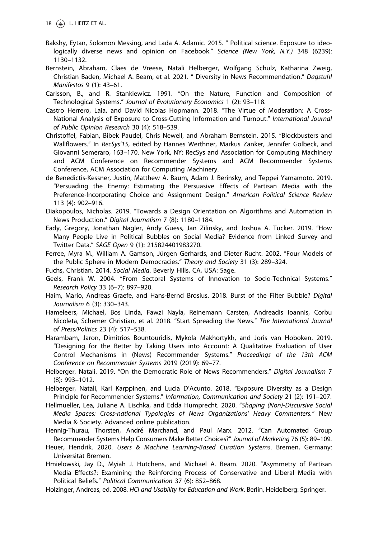- <span id="page-17-0"></span>Bakshy, Eytan, Solomon Messing, and Lada A. Adamic. [2015.](#page-5-0) " Political science. Exposure to ideologically diverse news and opinion on Facebook." Science (New York, N.Y.) 348 (6239): 1130–1132.
- Bernstein, Abraham, Claes de Vreese, Natali Helberger, Wolfgang Schulz, Katharina Zweig, Christian Baden, Michael A. Beam, et al. [2021](#page-1-0). " Diversity in News Recommendation." Dagstuhl Manifestos 9 (1): 43–61.
- Carlsson, B., and R. Stankiewicz. [1991](#page-2-0). "On the Nature, Function and Composition of Technological Systems." Journal of Evolutionary Economics 1 (2): 93–118.
- Castro Herrero, Laia, and David Nicolas Hopmann. [2018](#page-3-0). "The Virtue of Moderation: A Cross-National Analysis of Exposure to Cross-Cutting Information and Turnout." International Journal of Public Opinion Research 30 (4): 518–539.
- Christoffel, Fabian, Bibek Paudel, Chris Newell, and Abraham Bernstein. [2015](#page-1-0). "Blockbusters and Wallflowers." In RecSys'15, edited by Hannes Werthner, Markus Zanker, Jennifer Golbeck, and Giovanni Semeraro, 163–170. New York, NY: RecSys and Association for Computing Machinery and ACM Conference on Recommender Systems and ACM Recommender Systems Conference, ACM Association for Computing Machinery.
- de Benedictis-Kessner, Justin, Matthew A. Baum, Adam J. Berinsky, and Teppei Yamamoto. [2019.](#page-1-0) "Persuading the Enemy: Estimating the Persuasive Effects of Partisan Media with the Preference-Incorporating Choice and Assignment Design." American Political Science Review 113 (4): 902–916.
- Diakopoulos, Nicholas. [2019](#page-1-0). "Towards a Design Orientation on Algorithms and Automation in News Production." Digital Journalism 7 (8): 1180–1184.
- Eady, Gregory, Jonathan Nagler, Andy Guess, Jan Zilinsky, and Joshua A. Tucker. [2019.](#page-3-0) "How Many People Live in Political Bubbles on Social Media? Evidence from Linked Survey and Twitter Data." SAGE Open 9 (1): 215824401983270.
- Ferree, Myra M., William A. Gamson, Jürgen Gerhards, and Dieter Rucht. [2002](#page-2-0). "Four Models of the Public Sphere in Modern Democracies." Theory and Society 31 (3): 289–324.
- Fuchs, Christian. [2014](#page-2-0). Social Media. Beverly Hills, CA, USA: Sage.
- Geels, Frank W. [2004.](#page-2-0) "From Sectoral Systems of Innovation to Socio-Technical Systems." Research Policy 33 (6–7): 897–920.
- Haim, Mario, Andreas Graefe, and Hans-Bernd Brosius. [2018](#page-1-0). Burst of the Filter Bubble? Digital Journalism 6 (3): 330–343.
- Hameleers, Michael, Bos Linda, Fawzi Nayla, Reinemann Carsten, Andreadis Ioannis, Corbu Nicoleta, Schemer Christian, et al. [2018](#page-9-0). "Start Spreading the News." The International Journal of Press/Politics 23 (4): 517–538.
- Harambam, Jaron, Dimitrios Bountouridis, Mykola Makhortykh, and Joris van Hoboken. [2019.](#page-1-0) "Designing for the Better by Taking Users into Account: A Qualitative Evaluation of User Control Mechanisms in (News) Recommender Systems." Proceedings of the 13th ACM Conference on Recommender Systems 2019 (2019): 69–77.
- Helberger, Natali. [2019](#page-1-0). "On the Democratic Role of News Recommenders." Digital Journalism 7 (8): 993–1012.
- Helberger, Natali, Karl Karppinen, and Lucia D'Acunto. [2018.](#page-1-0) "Exposure Diversity as a Design Principle for Recommender Systems." Information, Communication and Society 21 (2): 191–207.
- Hellmueller, Lea, Juliane A. Lischka, and Edda Humprecht. [2020](#page-1-0). "Shaping (Non)-Discursive Social Media Spaces: Cross-national Typologies of News Organizations' Heavy Commenters." New Media & Society. Advanced online publication.
- Hennig-Thurau, Thorsten, André Marchand, and Paul Marx. [2012](#page-0-0). "Can Automated Group Recommender Systems Help Consumers Make Better Choices?" Journal of Marketing 76 (5): 89–109.
- Heuer, Hendrik. [2020](#page-0-0). Users & Machine Learning-Based Curation Systems. Bremen, Germany: Universität Bremen.
- Hmielowski, Jay D., Myiah J. Hutchens, and Michael A. Beam. [2020](#page-3-0). "Asymmetry of Partisan Media Effects?: Examining the Reinforcing Process of Conservative and Liberal Media with Political Beliefs." Political Communication 37 (6): 852–868.
- Holzinger, Andreas, ed. [2008](#page-8-0). HCI and Usability for Education and Work. Berlin, Heidelberg: Springer.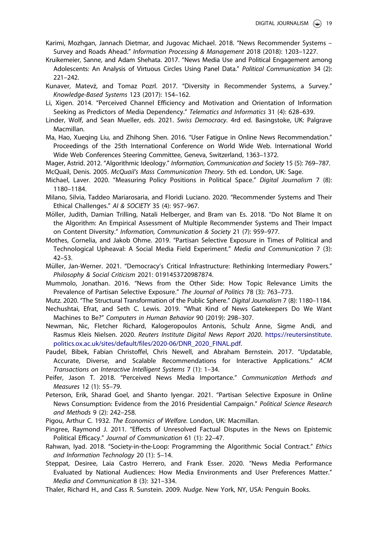- <span id="page-18-0"></span>Karimi, Mozhgan, Jannach Dietmar, and Jugovac Michael. [2018](#page-2-0). "News Recommender Systems – Survey and Roads Ahead." Information Processing & Management 2018 (2018): 1203–1227.
- Kruikemeier, Sanne, and Adam Shehata. [2017](#page-9-0). "News Media Use and Political Engagement among Adolescents: An Analysis of Virtuous Circles Using Panel Data." Political Communication 34 (2): 221–242.
- Kunaver, Matevž, and Tomaz Pozrl. [2017.](#page-2-0) "Diversity in Recommender Systems, a Survey." Knowledge-Based Systems 123 (2017): 154–162.
- Li, Xigen. [2014](#page-8-0). "Perceived Channel Efficiency and Motivation and Orientation of Information Seeking as Predictors of Media Dependency." Telematics and Informatics 31 (4): 628–639.
- Linder, Wolf, and Sean Mueller, eds. [2021](#page-1-0). Swiss Democracy. 4rd ed. Basingstoke, UK: Palgrave Macmillan.
- Ma, Hao, Xueqing Liu, and Zhihong Shen. [2016](#page-2-0). "User Fatigue in Online News Recommendation." Proceedings of the 25th International Conference on World Wide Web. International World Wide Web Conferences Steering Committee, Geneva, Switzerland, 1363–1372.
- Mager, Astrid. [2012](#page-2-0). "Algorithmic Ideology." Information, Communication and Society 15 (5): 769–787. McQuail, Denis. [2005](#page-3-0). McQuail's Mass Communication Theory. 5th ed. London, UK: Sage.
- Michael, Laver. [2020](#page-5-0). "Measuring Policy Positions in Political Space." Digital Journalism 7 (8): 1180–1184.
- Milano, Silvia, Taddeo Mariarosaria, and Floridi Luciano. [2020.](#page-1-0) "Recommender Systems and Their Ethical Challenges." AI & SOCIETY 35 (4): 957–967.
- Möller, Judith, Damian Trilling, Natali Helberger, and Bram van Es. [2018](#page-1-0). "Do Not Blame It on the Algorithm: An Empirical Assessment of Multiple Recommender Systems and Their Impact on Content Diversity." Information, Communication & Society 21 (7): 959–977.
- Mothes, Cornelia, and Jakob Ohme. [2019.](#page-3-0) "Partisan Selective Exposure in Times of Political and Technological Upheaval: A Social Media Field Experiment." Media and Communication 7 (3): 42–53.
- Müller, Jan-Werner. [2021.](#page-0-0) "Democracy's Critical Infrastructure: Rethinking Intermediary Powers." Philosophy & Social Criticism 2021: 0191453720987874.
- Mummolo, Jonathan. [2016.](#page-1-0) "News from the Other Side: How Topic Relevance Limits the Prevalence of Partisan Selective Exposure." The Journal of Politics 78 (3): 763–773.
- Mutz. [2020.](#page-1-0) "The Structural Transformation of the Public Sphere." Digital Journalism 7 (8): 1180–1184. Nechushtai, Efrat, and Seth C. Lewis. [2019](#page-1-0). "What Kind of News Gatekeepers Do We Want Machines to Be?" Computers in Human Behavior 90 (2019): 298–307.
- Newman, Nic, Fletcher Richard, Kalogeropoulos Antonis, Schulz Anne, Sigme Andi, and Rasmus Kleis Nielsen. [2020](#page-0-0). Reuters Institute Digital News Report 2020. [https://reutersinstitute.](https://reutersinstitute.politics.ox.ac.uk/sites/default/files/2020-06/DNR_2020_FINAL.pdf) [politics.ox.ac.uk/sites/default/files/2020-06/DNR\\_2020\\_FINAL.pdf](https://reutersinstitute.politics.ox.ac.uk/sites/default/files/2020-06/DNR_2020_FINAL.pdf).
- Paudel, Bibek, Fabian Christoffel, Chris Newell, and Abraham Bernstein. [2017](#page-1-0). "Updatable, Accurate, Diverse, and Scalable Recommendations for Interactive Applications." ACM Transactions on Interactive Intelligent Systems 7 (1): 1–34.
- Peifer, Jason T. [2018.](#page-9-0) "Perceived News Media Importance." Communication Methods and Measures 12 (1): 55–79.
- Peterson, Erik, Sharad Goel, and Shanto Iyengar. [2021](#page-1-0). "Partisan Selective Exposure in Online News Consumption: Evidence from the 2016 Presidential Campaign." Political Science Research and Methods 9 (2): 242–258.
- Pigou, Arthur C. [1932](#page-2-0). The Economics of Welfare. London, UK: Macmillan.
- Pingree, Raymond J. [2011](#page-9-0). "Effects of Unresolved Factual Disputes in the News on Epistemic Political Efficacy." Journal of Communication 61 (1): 22–47.
- Rahwan, Iyad. [2018.](#page-1-0) "Society-in-the-Loop: Programming the Algorithmic Social Contract." Ethics and Information Technology 20 (1): 5–14.
- Steppat, Desiree, Laia Castro Herrero, and Frank Esser. [2020.](#page-3-0) "News Media Performance Evaluated by National Audiences: How Media Environments and User Preferences Matter." Media and Communication 8 (3): 321–334.
- Thaler, Richard H., and Cass R. Sunstein. [2009.](#page-1-0) Nudge. New York, NY, USA: Penguin Books.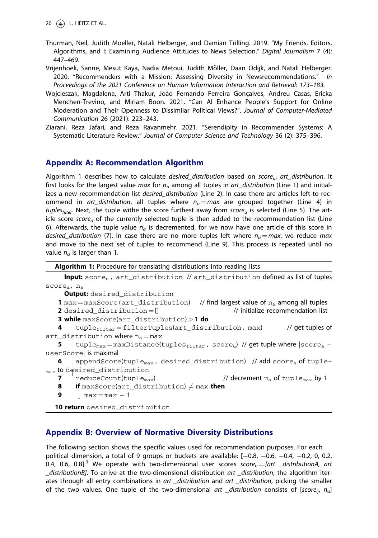- <span id="page-19-0"></span>Thurman, Neil, Judith Moeller, Natali Helberger, and Damian Trilling. [2019.](#page-1-0) "My Friends, Editors, Algorithms, and I: Examining Audience Attitudes to News Selection." Digital Journalism 7 (4): 447–469.
- Vrijenhoek, Sanne, Mesut Kaya, Nadia Metoui, Judith Möller, Daan Odijk, and Natali Helberger. [2020](#page-3-0). "Recommenders with a Mission: Assessing Diversity in Newsrecommendations." In Proceedings of the 2021 Conference on Human Information Interaction and Retrieval: 173–183.
- Wojcieszak, Magdalena, Arti Thakur, João Fernando Ferreira Goncalves, Andreu Casas, Ericka Menchen-Trevino, and Miriam Boon. [2021.](#page-3-0) "Can AI Enhance People's Support for Online Moderation and Their Openness to Dissimilar Political Views?". Journal of Computer-Mediated Communication 26 (2021): 223–243.
- Ziarani, Reza Jafari, and Reza Ravanmehr. [2021](#page-2-0). "Serendipity in Recommender Systems: A Systematic Literature Review." Journal of Computer Science and Technology 36 (2): 375–396.

### Appendix A: Recommendation Algorithm

Algorithm 1 describes how to calculate desired\_distribution based on  $score_{\mu\nu}$  art\_distribution. It first looks for the largest value max for  $n_a$  among all tuples in art\_distribution (Line 1) and initializes a new recommendation list desired\_distribution (Line 2). In case there are articles left to recommend in art\_distribution, all tuples where  $n_a = max$  are grouped together (Line 4) in tuples<sub>filter</sub>. Next, the tuple withe the score furthest away from score<sub>u</sub> is selected (Line 5). The article score score<sub>a</sub> of the currently selected tuple is then added to the recommendation list (Line 6). Afterwards, the tuple value  $n_a$  is decremented, for we now have one article of this score in desired\_distribution (7). In case there are no more tuples left where  $n_a = max$ , we reduce max and move to the next set of tuples to recommend (Line 9). This process is repeated until no value  $n_a$  is larger than 1.

Algorithm 1: Procedure for translating distributions into reading lists

```
Input: score<sub>u</sub>, art_distribution // art_distribution defined as list of tuples
scorea, na
       Output: desired distribution
    1 max = maxScore(art_distribution) // find largest value of n_a among all tuples<br>2 desired distribution = \frac{n}{\ell}2 desired_distribution = []3 while maxScore(art_distribution) > 1 do
    4
<sub>max</sub> to desired_distribution
          j
           tuple_{filter} = filterTuples(art\_distribution, max) // get tuples of
art_distribution where n_a = max<br>5 tuple<sub>nsy</sub> = maxDistance(t
           \tt tuple_{max} = maxDistance(tuples_{filter}, score<sub>u</sub>) // get tuple where |score_a -\begin{array}{c} \text{userScore} \mid \text{is maximal} \\ \text{6} \mid \text{appendScore} \end{array}appendScore(tuple<sub>max</sub>, desired_distribution) // add score<sub>a</sub> of tuple-
    7 r^{\text{th}} reduceCount(tuple<sub>max</sub>) \frac{1}{r} // decrement n_{\text{a}} of tuple<sub>max</sub> by 1
    8 if maxScore(art_distribution) \neq max then<br>9 | max = max - 1
            \parallel max = max - 1
   10 return desired_distribution
```
### Appendix B: Overview of Normative Diversity Distributions

The following section shows the specific values used for recommendation purposes. For each political dimension, a total of 9 groups or buckets are available:  $[-0.8, -0.6, -0.4, -0.2, 0, 0.2,$ 0.4, 0.6, 0.8].<sup>[3](#page-16-0)</sup> We operate with two-dimensional user scores score<sub>u</sub> = [art \_distributionA, art \_distributionB]. To arrive at the two-dimensional distribution art \_distribution, the algorithm iterates through all entry combinations in art \_distribution and art \_distribution, picking the smaller of the two values. One tuple of the two-dimensional art \_distribution consists of [score<sub>ii</sub>, n<sub>a</sub>]